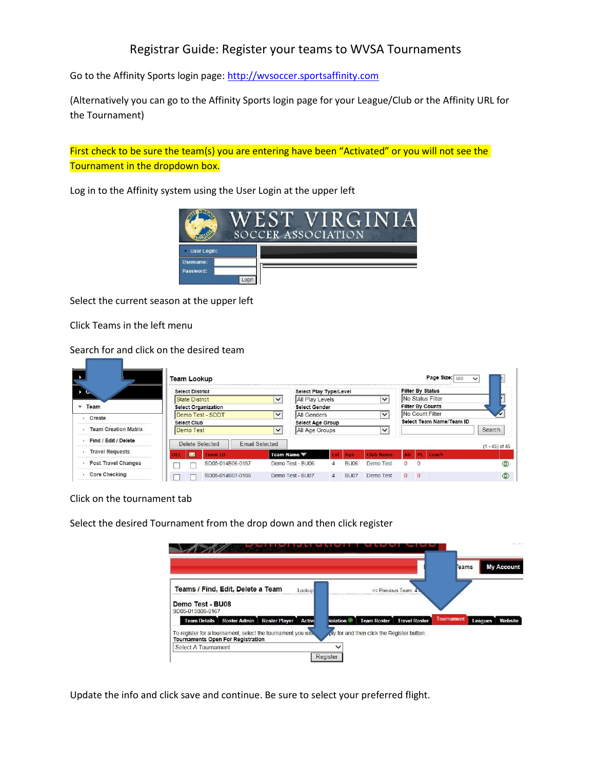## Registrar Guide: Register your teams to WVSA Tournaments

Go to the Affinity Sports login page: [http://wvsoccer.sportsaffinity.com](http://wvsoccer.sportsaffinity.com/)

(Alternatively you can go to the Affinity Sports login page for your League/Club or the Affinity URL for the Tournament)

First check to be sure the team(s) you are entering have been "Activated" or you will not see the Tournament in the dropdown box.

Log in to the Affinity system using the User Login at the upper left



Select the current season at the upper left

Click Teams in the left menu

Search for and click on the desired team

|                             | <b>Team Lookup</b>                                             |                       |                                                                                       |              |             |                                             |                         |                | Page Size: 500          | $\checkmark$     |
|-----------------------------|----------------------------------------------------------------|-----------------------|---------------------------------------------------------------------------------------|--------------|-------------|---------------------------------------------|-------------------------|----------------|-------------------------|------------------|
|                             | <b>Select District</b>                                         |                       | Select Play Type/Level                                                                |              |             |                                             |                         |                | <b>Filter By Status</b> |                  |
|                             | <b>State District</b>                                          | $\checkmark$          | All Play Levels                                                                       |              |             | $\checkmark$                                |                         |                | No Status Filter        |                  |
| Team                        | <b>Select Organization</b><br>Demo Test - SDDT<br>$\checkmark$ |                       | <b>Select Gender</b><br>$\checkmark$<br><b>All Genders</b><br><b>Select Age Group</b> |              |             |                                             | <b>Filter By Counts</b> |                |                         |                  |
|                             |                                                                |                       |                                                                                       |              |             | No Count Filter<br>Select Team Name/Team ID |                         |                |                         |                  |
| Create                      | <b>Select Club</b>                                             |                       |                                                                                       |              |             |                                             |                         |                |                         |                  |
| <b>Team Creation Matrix</b> | Demo Test                                                      | $\checkmark$          | All Age Groups                                                                        |              |             | $\checkmark$                                |                         |                |                         | Search           |
| Find / Edit / Delete        | Delete Selected                                                | <b>Email Selected</b> |                                                                                       |              |             |                                             |                         |                |                         | $(1 - 45)$ of 45 |
| <b>Travel Requests</b>      | <b>Red</b><br><b>Team ID</b>                                   | Team Name             |                                                                                       | Lyl Age      |             | <b>Club Name</b>                            | <b>AD</b>               | PE             | Coach                   |                  |
| Post Travel Changes         | SD05-014B06-0187                                               |                       | Demo Test - BU06                                                                      | $\mathbf{4}$ | <b>BU06</b> | Demo Test                                   | $\Omega$                | $\Omega$       |                         |                  |
| <b>Core Checking</b>        | SD05-014B07-0188                                               |                       | Demo Test - BU07                                                                      | $\mathbf{A}$ | <b>BU07</b> | Demo Test                                   | $^{\circ}$              | $\overline{0}$ |                         |                  |

Click on the tournament tab

Select the desired Tournament from the drop down and then click register

|                                                                                                          |                                             |                                           | <b>My Account</b><br><b>eams</b> |
|----------------------------------------------------------------------------------------------------------|---------------------------------------------|-------------------------------------------|----------------------------------|
| Teams / Find, Edit, Delete a Team<br>ookup                                                               | << Previous Team 4                          |                                           |                                  |
| Demo Test - BU08<br>SD05-013B08-0167                                                                     |                                             |                                           |                                  |
| Roster Player Active<br><b>Roster Admin</b><br><b>Team Details</b>                                       | <b>Team Roster</b><br>iolation              | <b>Tournament</b><br><b>Travel Roster</b> | Website<br><b>Leagues</b>        |
| To register for a tournament, select the tournament you wis.<br><b>Tournaments Open For Registration</b> | oly for and then click the Register button. |                                           |                                  |
| Select A Tournament                                                                                      |                                             |                                           |                                  |
|                                                                                                          | Register                                    |                                           |                                  |

Update the info and click save and continue. Be sure to select your preferred flight.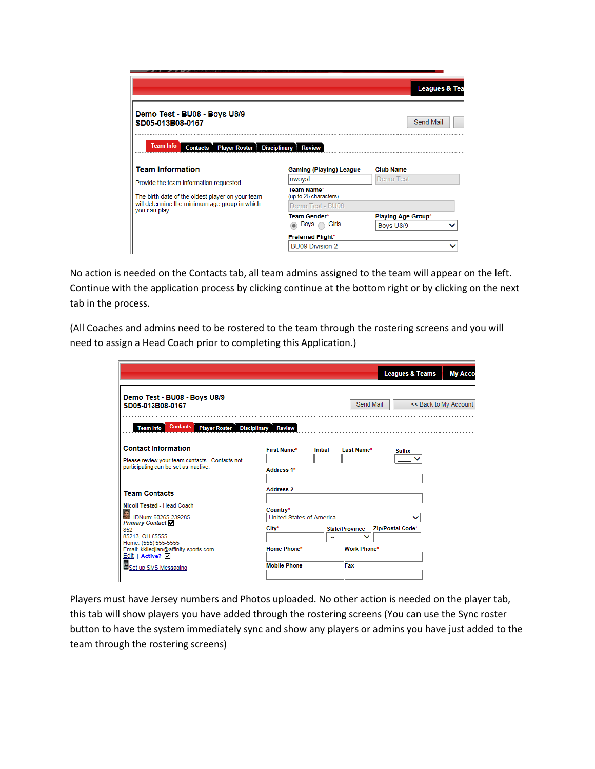|                                                                                                           |                                      | Leagues & Tea             |
|-----------------------------------------------------------------------------------------------------------|--------------------------------------|---------------------------|
| Demo Test - BU08 - Boys U8/9<br>SD05-013B08-0167                                                          |                                      | Send Mail                 |
| <b>Team Info</b><br><b>Player Roster</b><br><b>Contacts</b>                                               | <b>Disciplinary</b><br><b>Review</b> |                           |
|                                                                                                           |                                      |                           |
| <b>Team Information</b>                                                                                   | <b>Gaming (Playing) League</b>       | <b>Club Name</b>          |
|                                                                                                           | nwoysl                               | Demo Test                 |
| The birth date of the oldest player on your team                                                          | Team Name*<br>(up to 25 characters)  |                           |
|                                                                                                           | Demo Test - BU08                     |                           |
|                                                                                                           | <b>Team Gender*</b>                  | <b>Playing Age Group*</b> |
|                                                                                                           | Girls<br>Boys                        | Boys U8/9                 |
| Provide the team information requested.<br>will determine the minimum age group in which<br>you can play. | <b>Preferred Flight*</b>             |                           |

No action is needed on the Contacts tab, all team admins assigned to the team will appear on the left. Continue with the application process by clicking continue at the bottom right or by clicking on the next tab in the process.

(All Coaches and admins need to be rostered to the team through the rostering screens and you will need to assign a Head Coach prior to completing this Application.)

|                                                                                                                              |                                                      |                |                       | <b>Leagues &amp; Teams</b> | <b>My Acco</b>        |
|------------------------------------------------------------------------------------------------------------------------------|------------------------------------------------------|----------------|-----------------------|----------------------------|-----------------------|
| Demo Test - BU08 - Boys U8/9<br>SD05-013B08-0167                                                                             |                                                      |                | Send Mail             |                            | << Back to My Account |
| <b>Contacts</b><br><b>Team Info</b><br><b>Player Roster</b>                                                                  | <b>Disciplinary</b><br><b>Review</b>                 |                |                       |                            |                       |
| <b>Contact Information</b>                                                                                                   | <b>First Name*</b>                                   | <b>Initial</b> | Last Name*            | <b>Suffix</b>              |                       |
| Please review your team contacts. Contacts not<br>participating can be set as inactive.                                      | Address <sub>1*</sub>                                |                |                       |                            |                       |
| <b>Team Contacts</b>                                                                                                         | <b>Address 2</b>                                     |                |                       |                            |                       |
| Nicoli Tested - Head Coach<br>DNum: 60265-239285<br><b>Primary Contact</b><br>852<br>85213, OH 85555<br>Home: (555) 555-5555 | Country*<br><b>United States of America</b><br>City* |                | <b>State/Province</b> | Zip/Postal Code*           |                       |
| Email: kkiledjian@affinity-sports.com<br>Edit   Active? Ø                                                                    | Home Phone*                                          |                | <b>Work Phone*</b>    |                            |                       |
| Set up SMS Messaging                                                                                                         | <b>Mobile Phone</b>                                  |                | Fax                   |                            |                       |

Players must have Jersey numbers and Photos uploaded. No other action is needed on the player tab, this tab will show players you have added through the rostering screens (You can use the Sync roster button to have the system immediately sync and show any players or admins you have just added to the team through the rostering screens)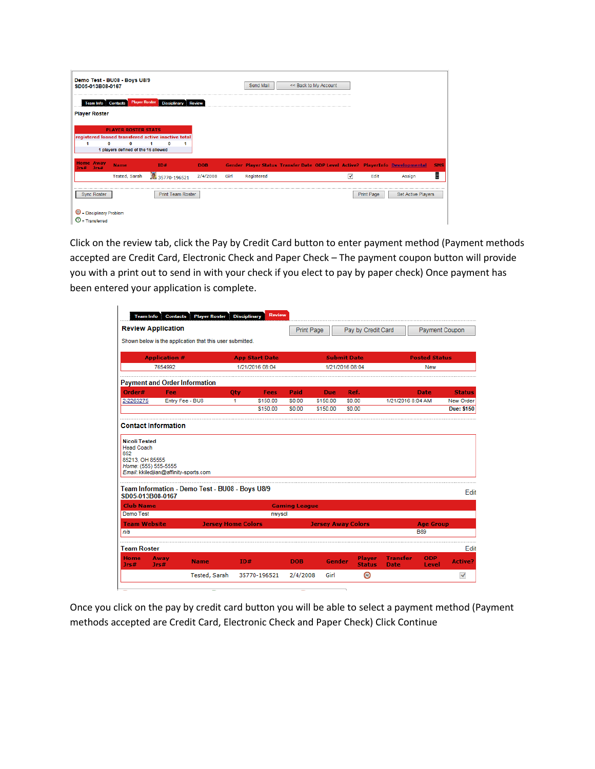| SD05-013B08-0167                 | Demo Test - BU08 - Boys U8/9                    |                                                    |               |      | Send Mail  | << Back to My Account |                         |                   |                                                                               |            |
|----------------------------------|-------------------------------------------------|----------------------------------------------------|---------------|------|------------|-----------------------|-------------------------|-------------------|-------------------------------------------------------------------------------|------------|
| <b>Team Info</b> Contacts        | <b>Player Roster</b>                            | <b>Disciplinary</b>                                | <b>Review</b> |      |            |                       |                         |                   |                                                                               |            |
| <b>Player Roster</b>             | <b>PLAYER ROSTER STATS</b>                      | registered loaned transfered active inactive total |               |      |            |                       |                         |                   |                                                                               |            |
| 0                                | $\bf{0}$<br>1 players defined of the 16 allowed |                                                    |               |      |            |                       |                         |                   |                                                                               |            |
| <b>Home Away</b><br>Jrs#<br>Jrs# | <b>Name</b>                                     | TD#                                                | <b>DOB</b>    |      |            |                       |                         |                   | Gender Player Status Transfer Date ODP Level Active? PlayerInfo Developmental | <b>SMS</b> |
|                                  | <b>Tested, Sarah</b>                            | 35770-196521                                       | 2/4/2008      | Girl | Registered |                       | $\overline{\mathbf{v}}$ | Edit              | Assign                                                                        | Ë          |
| <b>Sync Roster</b>               |                                                 | <b>Print Team Roster</b>                           |               |      |            |                       |                         | <b>Print Page</b> | <b>Set Active Players</b>                                                     |            |

Click on the review tab, click the Pay by Credit Card button to enter payment method (Payment methods accepted are Credit Card, Electronic Check and Paper Check – The payment coupon button will provide you with a print out to send in with your check if you elect to pay by paper check) Once payment has been entered your application is complete.

|                                                                                                                                                                                                                                    | <b>Review Application</b>                                                                |                           |                       |             | <b>Print Page</b>    |            | Pay by Credit Card             |                                |                      | <b>Payment Coupon</b>  |
|------------------------------------------------------------------------------------------------------------------------------------------------------------------------------------------------------------------------------------|------------------------------------------------------------------------------------------|---------------------------|-----------------------|-------------|----------------------|------------|--------------------------------|--------------------------------|----------------------|------------------------|
|                                                                                                                                                                                                                                    | Shown below is the application that this user submitted.                                 |                           |                       |             |                      |            |                                |                                |                      |                        |
|                                                                                                                                                                                                                                    | <b>Application #</b>                                                                     |                           | <b>App Start Date</b> |             |                      |            | <b>Submit Date</b>             |                                | <b>Posted Status</b> |                        |
|                                                                                                                                                                                                                                    | 7654992                                                                                  |                           | 1/21/2016 08:04       |             |                      |            | 1/21/2016 08:04                |                                | <b>New</b>           |                        |
|                                                                                                                                                                                                                                    | <b>Payment and Order Information</b>                                                     |                           |                       |             |                      |            |                                |                                |                      |                        |
| Order#                                                                                                                                                                                                                             | Fee                                                                                      |                           | Oty                   | <b>Fees</b> | Paid                 | <b>Due</b> | Ref.                           |                                | <b>Date</b>          | <b>Status</b>          |
| 2-2263275                                                                                                                                                                                                                          | Entry Fee - BU8                                                                          |                           | 1.                    | \$150.00    | <b>SO.00</b>         | \$150.00   | \$0.00                         | 1/21/2016 8:04 AM              |                      | New Order              |
|                                                                                                                                                                                                                                    |                                                                                          |                           |                       | \$150.00    | \$0.00               | \$150.00   | \$0.00                         |                                |                      | <b>Due: \$150</b>      |
|                                                                                                                                                                                                                                    |                                                                                          |                           |                       |             |                      |            |                                |                                |                      |                        |
|                                                                                                                                                                                                                                    | Email: kkiledjian@affinity-sports.com<br>Team Information - Demo Test - BU08 - Boys U8/9 |                           |                       |             |                      |            |                                |                                |                      |                        |
|                                                                                                                                                                                                                                    |                                                                                          |                           |                       |             | <b>Gaming League</b> |            |                                |                                |                      |                        |
|                                                                                                                                                                                                                                    |                                                                                          |                           |                       | nwysol      |                      |            |                                |                                |                      | Edit                   |
|                                                                                                                                                                                                                                    |                                                                                          | <b>Jersey Home Colors</b> |                       |             |                      |            | <b>Jersey Away Colors</b>      |                                | <b>Age Group</b>     |                        |
|                                                                                                                                                                                                                                    |                                                                                          |                           |                       |             |                      |            |                                |                                | <b>B89</b>           |                        |
|                                                                                                                                                                                                                                    |                                                                                          |                           |                       |             |                      |            |                                |                                |                      |                        |
| <b>Nicoli Tested</b><br><b>Head Coach</b><br>852<br>85213, OH 85555<br>Home: (555) 555-5555<br>SD05-013B08-0167<br><b>Club Name</b><br><b>Demo Test</b><br><b>Team Website</b><br>n/a<br><b>Team Roster</b><br><b>Home</b><br>Jrs# | Away<br><b>Name</b><br>Jrs#                                                              |                           | ID#                   |             | <b>DOB</b>           | Gender     | <b>Player</b><br><b>Status</b> | <b>Transfer</b><br><b>Date</b> | ODP<br>Level         | Edit<br><b>Active?</b> |

Once you click on the pay by credit card button you will be able to select a payment method (Payment methods accepted are Credit Card, Electronic Check and Paper Check) Click Continue